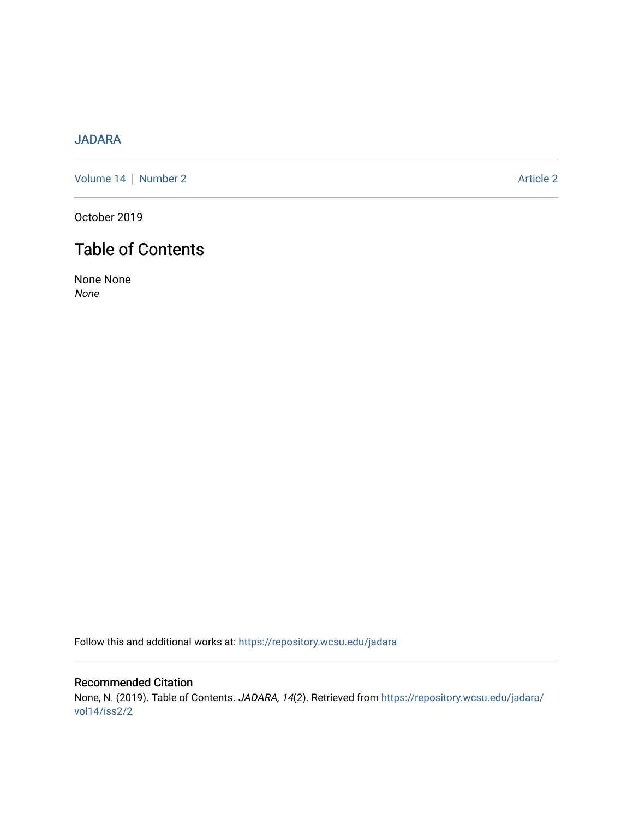## [JADARA](https://repository.wcsu.edu/jadara)

[Volume 14](https://repository.wcsu.edu/jadara/vol14) | [Number 2](https://repository.wcsu.edu/jadara/vol14/iss2) Article 2

October 2019

# Table of Contents

None None None

Follow this and additional works at: [https://repository.wcsu.edu/jadara](https://repository.wcsu.edu/jadara?utm_source=repository.wcsu.edu%2Fjadara%2Fvol14%2Fiss2%2F2&utm_medium=PDF&utm_campaign=PDFCoverPages)

Recommended Citation None, N. (2019). Table of Contents. JADARA, 14(2). Retrieved from [https://repository.wcsu.edu/jadara/](https://repository.wcsu.edu/jadara/vol14/iss2/2?utm_source=repository.wcsu.edu%2Fjadara%2Fvol14%2Fiss2%2F2&utm_medium=PDF&utm_campaign=PDFCoverPages) [vol14/iss2/2](https://repository.wcsu.edu/jadara/vol14/iss2/2?utm_source=repository.wcsu.edu%2Fjadara%2Fvol14%2Fiss2%2F2&utm_medium=PDF&utm_campaign=PDFCoverPages)